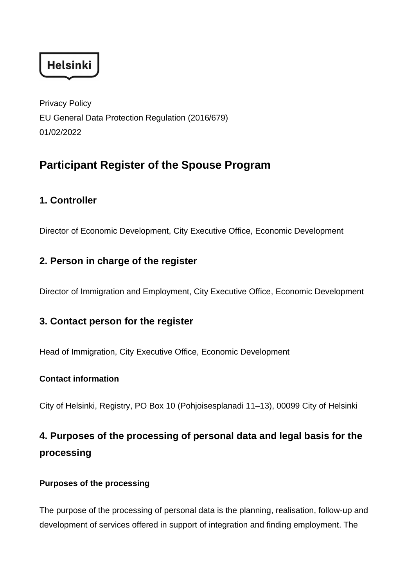**Helsinki** 

Privacy Policy EU General Data Protection Regulation (2016/679) 01/02/2022

# **Participant Register of the Spouse Program**

## **1. Controller**

Director of Economic Development, City Executive Office, Economic Development

## **2. Person in charge of the register**

Director of Immigration and Employment, City Executive Office, Economic Development

## **3. Contact person for the register**

Head of Immigration, City Executive Office, Economic Development

#### **Contact information**

City of Helsinki, Registry, PO Box 10 (Pohjoisesplanadi 11–13), 00099 City of Helsinki

# **4. Purposes of the processing of personal data and legal basis for the processing**

#### **Purposes of the processing**

The purpose of the processing of personal data is the planning, realisation, follow-up and development of services offered in support of integration and finding employment. The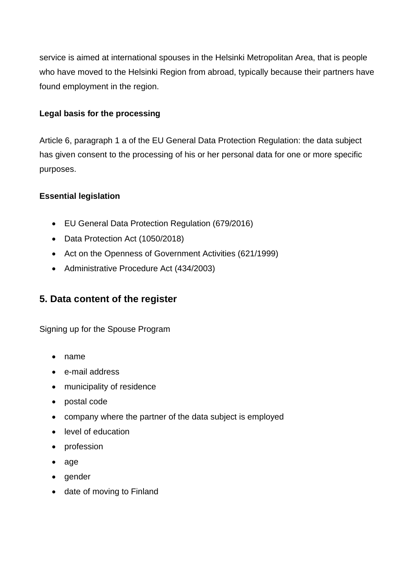service is aimed at international spouses in the Helsinki Metropolitan Area, that is people who have moved to the Helsinki Region from abroad, typically because their partners have found employment in the region.

#### **Legal basis for the processing**

Article 6, paragraph 1 a of the EU General Data Protection Regulation: the data subject has given consent to the processing of his or her personal data for one or more specific purposes.

#### **Essential legislation**

- EU General Data Protection Regulation (679/2016)
- Data Protection Act (1050/2018)
- Act on the Openness of Government Activities (621/1999)
- Administrative Procedure Act (434/2003)

## **5. Data content of the register**

Signing up for the Spouse Program

- name
- e-mail address
- municipality of residence
- postal code
- company where the partner of the data subject is employed
- level of education
- profession
- age
- gender
- date of moving to Finland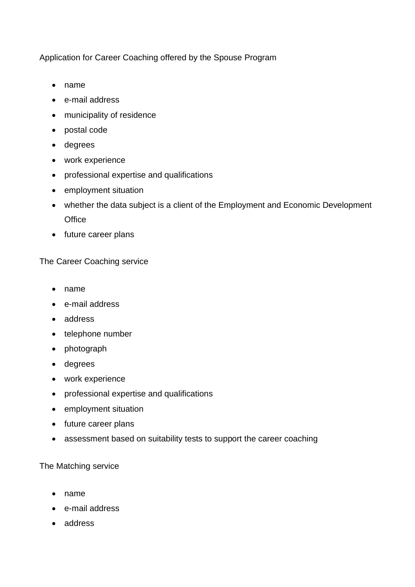Application for Career Coaching offered by the Spouse Program

- name
- e-mail address
- municipality of residence
- postal code
- degrees
- work experience
- professional expertise and qualifications
- employment situation
- whether the data subject is a client of the Employment and Economic Development **Office**
- future career plans

The Career Coaching service

- name
- e-mail address
- address
- telephone number
- photograph
- degrees
- work experience
- professional expertise and qualifications
- employment situation
- future career plans
- assessment based on suitability tests to support the career coaching

The Matching service

- name
- e-mail address
- address